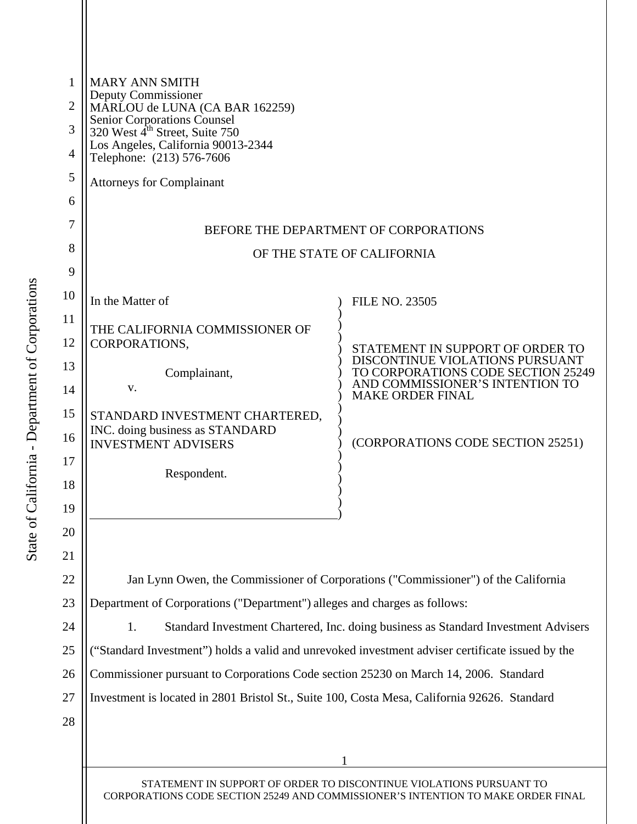| 1              | <b>MARY ANN SMITH</b><br>Deputy Commissioner<br>MARLOU de LUNA (CA BAR 162259)                                                                          |                                                                                    |  |  |  |
|----------------|---------------------------------------------------------------------------------------------------------------------------------------------------------|------------------------------------------------------------------------------------|--|--|--|
| $\overline{2}$ |                                                                                                                                                         |                                                                                    |  |  |  |
| 3              | Senior Corporations Counsel<br>320 West 4 <sup>th</sup> Street, Suite 750<br>Los Angeles, California 90013-2344<br>Telephone: (213) 576-7606            |                                                                                    |  |  |  |
| $\overline{4}$ |                                                                                                                                                         |                                                                                    |  |  |  |
| 5              | <b>Attorneys for Complainant</b>                                                                                                                        |                                                                                    |  |  |  |
| 6              |                                                                                                                                                         |                                                                                    |  |  |  |
| 7              | BEFORE THE DEPARTMENT OF CORPORATIONS                                                                                                                   |                                                                                    |  |  |  |
| 8              | OF THE STATE OF CALIFORNIA                                                                                                                              |                                                                                    |  |  |  |
| 9              |                                                                                                                                                         |                                                                                    |  |  |  |
| 10             | In the Matter of                                                                                                                                        | <b>FILE NO. 23505</b>                                                              |  |  |  |
| 11             | THE CALIFORNIA COMMISSIONER OF                                                                                                                          |                                                                                    |  |  |  |
| 12             | CORPORATIONS,                                                                                                                                           | STATEMENT IN SUPPORT OF ORDER TO                                                   |  |  |  |
| 13             | Complainant,                                                                                                                                            | DISCONTINUE VIOLATIONS PURSUANT<br>TO CORPORATIONS CODE SECTION 25249              |  |  |  |
| 14             | V.                                                                                                                                                      | AND COMMISSIONER'S INTENTION TO<br><b>MAKE ORDER FINAL</b>                         |  |  |  |
| 15             | STANDARD INVESTMENT CHARTERED,                                                                                                                          |                                                                                    |  |  |  |
| 16             | INC. doing business as STANDARD<br><b>INVESTMENT ADVISERS</b>                                                                                           | (CORPORATIONS CODE SECTION 25251)                                                  |  |  |  |
| 17             |                                                                                                                                                         |                                                                                    |  |  |  |
| 18             | Respondent.                                                                                                                                             |                                                                                    |  |  |  |
| 19             |                                                                                                                                                         |                                                                                    |  |  |  |
| 20             |                                                                                                                                                         |                                                                                    |  |  |  |
| 21             |                                                                                                                                                         |                                                                                    |  |  |  |
| 22             |                                                                                                                                                         | Jan Lynn Owen, the Commissioner of Corporations ("Commissioner") of the California |  |  |  |
| 23             | Department of Corporations ("Department") alleges and charges as follows:                                                                               |                                                                                    |  |  |  |
| 24             | Standard Investment Chartered, Inc. doing business as Standard Investment Advisers<br>1.                                                                |                                                                                    |  |  |  |
| 25             | ("Standard Investment") holds a valid and unrevoked investment adviser certificate issued by the                                                        |                                                                                    |  |  |  |
| 26             | Commissioner pursuant to Corporations Code section 25230 on March 14, 2006. Standard                                                                    |                                                                                    |  |  |  |
| 27             | Investment is located in 2801 Bristol St., Suite 100, Costa Mesa, California 92626. Standard                                                            |                                                                                    |  |  |  |
| 28             |                                                                                                                                                         |                                                                                    |  |  |  |
|                |                                                                                                                                                         |                                                                                    |  |  |  |
|                |                                                                                                                                                         |                                                                                    |  |  |  |
|                | STATEMENT IN SUPPORT OF ORDER TO DISCONTINUE VIOLATIONS PURSUANT TO<br>CORPORATIONS CODE SECTION 25249 AND COMMISSIONER'S INTENTION TO MAKE ORDER FINAL |                                                                                    |  |  |  |
|                |                                                                                                                                                         |                                                                                    |  |  |  |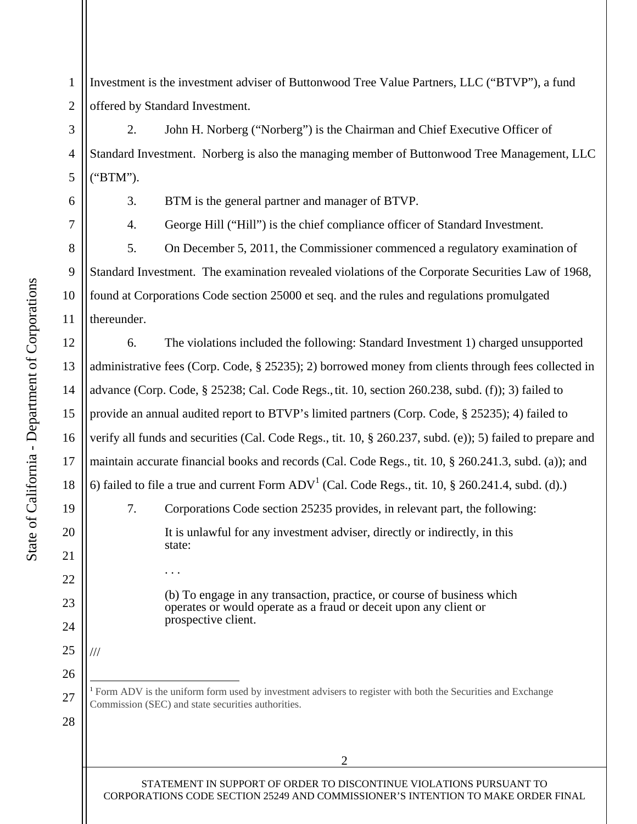<span id="page-1-0"></span>1 2 Investment is the investment adviser of Buttonwood Tree Value Partners, LLC ("BTVP"), a fund offered by Standard Investment.

4 2. John H. Norberg ("Norberg") is the Chairman and Chief Executive Officer of Standard Investment. Norberg is also the managing member of Buttonwood Tree Management, LLC ("BTM").

5

6

7

8

9

3

10

11

12

13

14

15

16

17

18

19

20

21

22

23

24

25

26

27

28

 $\overline{a}$ 

///

. . .

3. BTM is the general partner and manager of BTVP.

4. George Hill ("Hill") is the chief compliance officer of Standard Investment.

5. On December 5, 2011, the Commissioner commenced a regulatory examination of Standard Investment. The examination revealed violations of the Corporate Securities Law of 1968, found at Corporations Code section 25000 et seq. and the rules and regulations promulgated thereunder.

6. The violations included the following: Standard Investment 1) charged unsupported administrative fees (Corp. Code, § 25235); 2) borrowed money from clients through fees collected in advance (Corp. Code, § 25238; Cal. Code Regs., tit. 10, section 260.238, subd. (f)); 3) failed to provide an annual audited report to BTVP's limited partners (Corp. Code, § 25235); 4) failed to verify all funds and securities (Cal. Code Regs., tit. 10, § 260.237, subd. (e)); 5) failed to prepare and maintain accurate financial books and records (Cal. Code Regs., tit. 10, § 260.241.3, subd. (a)); and 6) failed to file a true and current Form  $ADV^1$  (Cal. Code Regs., tit. 10, § 260.241.4, subd. (d).) 7. Corporations Code section 25235 provides, in relevant part, the following: It is unlawful for any investment adviser, directly or indirectly, in this state:

> (b) To engage in any transaction, practice, or course of business which operates or would operate as a fraud or deceit upon any client or prospective client.

<sup>1</sup> Form ADV is the uniform form used by investment advisers to register with both the Securities and Exchange Commission (SEC) and state securities authorities.

STATEMENT IN SUPPORT OF ORDER TO DISCONTINUE VIOLATIONS PURSUANT TO CORPORATIONS CODE SECTION 25249 AND COMMISSIONER'S INTENTION TO MAKE ORDER FINAL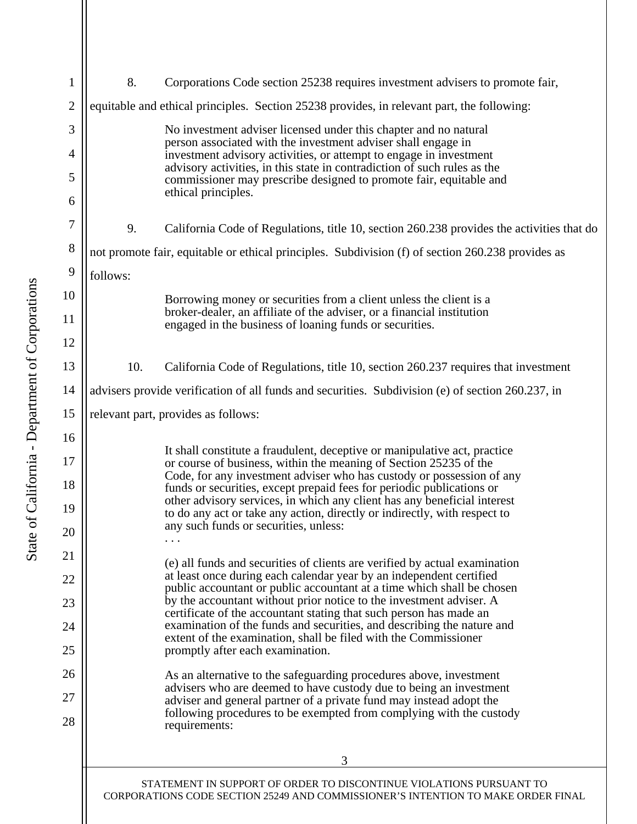<span id="page-2-0"></span>

| $\mathbf{1}$   | 8.                                                                                                                                         | Corporations Code section 25238 requires investment advisers to promote fair,                                                                     |  |
|----------------|--------------------------------------------------------------------------------------------------------------------------------------------|---------------------------------------------------------------------------------------------------------------------------------------------------|--|
| $\overline{2}$ | equitable and ethical principles. Section 25238 provides, in relevant part, the following:                                                 |                                                                                                                                                   |  |
| 3              |                                                                                                                                            |                                                                                                                                                   |  |
| 4              |                                                                                                                                            | No investment adviser licensed under this chapter and no natural<br>person associated with the investment adviser shall engage in                 |  |
| 5              |                                                                                                                                            | investment advisory activities, or attempt to engage in investment<br>advisory activities, in this state in contradiction of such rules as the    |  |
| 6              |                                                                                                                                            | commissioner may prescribe designed to promote fair, equitable and<br>ethical principles.                                                         |  |
| 7              |                                                                                                                                            |                                                                                                                                                   |  |
|                | 9.                                                                                                                                         | California Code of Regulations, title 10, section 260.238 provides the activities that do                                                         |  |
| 8              | not promote fair, equitable or ethical principles. Subdivision (f) of section 260.238 provides as                                          |                                                                                                                                                   |  |
| 9              | follows:                                                                                                                                   |                                                                                                                                                   |  |
| 10             |                                                                                                                                            | Borrowing money or securities from a client unless the client is a<br>broker-dealer, an affiliate of the adviser, or a financial institution      |  |
| 11             |                                                                                                                                            | engaged in the business of loaning funds or securities.                                                                                           |  |
| 12             |                                                                                                                                            |                                                                                                                                                   |  |
| 13             | 10.                                                                                                                                        | California Code of Regulations, title 10, section 260.237 requires that investment                                                                |  |
| 14             | advisers provide verification of all funds and securities. Subdivision (e) of section 260.237, in                                          |                                                                                                                                                   |  |
| 15             |                                                                                                                                            | relevant part, provides as follows:                                                                                                               |  |
| 16             |                                                                                                                                            | It shall constitute a fraudulent, deceptive or manipulative act, practice                                                                         |  |
| 17             |                                                                                                                                            | or course of business, within the meaning of Section 25235 of the<br>Code, for any investment adviser who has custody or possession of any        |  |
| 18             |                                                                                                                                            | funds or securities, except prepaid fees for periodic publications or<br>other advisory services, in which any client has any beneficial interest |  |
| 19             |                                                                                                                                            | to do any act or take any action, directly or indirectly, with respect to<br>any such funds or securities, unless:                                |  |
| 20             |                                                                                                                                            |                                                                                                                                                   |  |
| 21             |                                                                                                                                            | (e) all funds and securities of clients are verified by actual examination                                                                        |  |
| 22             |                                                                                                                                            | at least once during each calendar year by an independent certified<br>public accountant or public accountant at a time which shall be chosen     |  |
| 23             |                                                                                                                                            | by the accountant without prior notice to the investment adviser. A<br>certificate of the accountant stating that such person has made an         |  |
| 24             |                                                                                                                                            | examination of the funds and securities, and describing the nature and<br>extent of the examination, shall be filed with the Commissioner         |  |
| 25             |                                                                                                                                            | promptly after each examination.                                                                                                                  |  |
| 26             |                                                                                                                                            | As an alternative to the safeguarding procedures above, investment<br>advisers who are deemed to have custody due to being an investment          |  |
| 27             | adviser and general partner of a private fund may instead adopt the<br>following procedures to be exempted from complying with the custody |                                                                                                                                                   |  |
| 28             |                                                                                                                                            | requirements:                                                                                                                                     |  |
|                |                                                                                                                                            | 3                                                                                                                                                 |  |
|                |                                                                                                                                            | STATEMENT IN SUPPORT OF ORDER TO DISCONTINUE VIOLATIONS PURSUANT TO                                                                               |  |
|                | CORPORATIONS CODE SECTION 25249 AND COMMISSIONER'S INTENTION TO MAKE ORDER FINAL                                                           |                                                                                                                                                   |  |
|                |                                                                                                                                            |                                                                                                                                                   |  |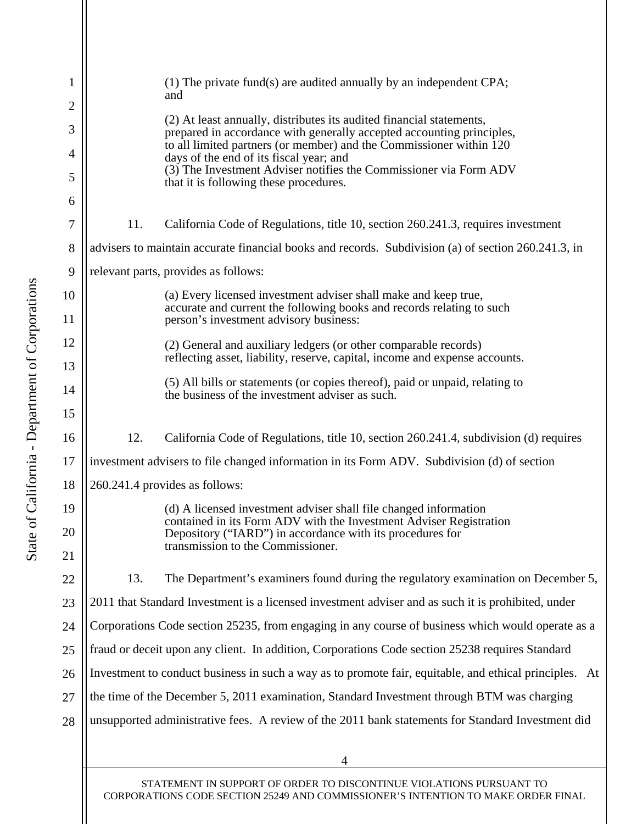<span id="page-3-0"></span>

| 1                   |                                                                                                        | $(1)$ The private fund(s) are audited annually by an independent CPA;<br>and                                                                  |  |
|---------------------|--------------------------------------------------------------------------------------------------------|-----------------------------------------------------------------------------------------------------------------------------------------------|--|
| $\overline{2}$<br>3 |                                                                                                        | (2) At least annually, distributes its audited financial statements,<br>prepared in accordance with generally accepted accounting principles, |  |
| $\overline{4}$      |                                                                                                        | to all limited partners (or member) and the Commissioner within 120<br>days of the end of its fiscal year; and                                |  |
| 5                   |                                                                                                        | (3) The Investment Adviser notifies the Commissioner via Form ADV<br>that it is following these procedures.                                   |  |
| 6                   |                                                                                                        |                                                                                                                                               |  |
| 7                   | 11.                                                                                                    | California Code of Regulations, title 10, section 260.241.3, requires investment                                                              |  |
| 8                   | advisers to maintain accurate financial books and records. Subdivision (a) of section 260.241.3, in    |                                                                                                                                               |  |
| 9                   | relevant parts, provides as follows:                                                                   |                                                                                                                                               |  |
| 10                  |                                                                                                        | (a) Every licensed investment adviser shall make and keep true,                                                                               |  |
| 11                  |                                                                                                        | accurate and current the following books and records relating to such<br>person's investment advisory business:                               |  |
| 12                  |                                                                                                        | (2) General and auxiliary ledgers (or other comparable records)                                                                               |  |
| 13                  |                                                                                                        | reflecting asset, liability, reserve, capital, income and expense accounts.                                                                   |  |
| 14                  |                                                                                                        | (5) All bills or statements (or copies thereof), paid or unpaid, relating to<br>the business of the investment adviser as such.               |  |
| 15                  |                                                                                                        |                                                                                                                                               |  |
| 16                  | 12.                                                                                                    | California Code of Regulations, title 10, section 260.241.4, subdivision (d) requires                                                         |  |
| 17                  | investment advisers to file changed information in its Form ADV. Subdivision (d) of section            |                                                                                                                                               |  |
| 18                  | 260.241.4 provides as follows:                                                                         |                                                                                                                                               |  |
| 19                  |                                                                                                        | (d) A licensed investment adviser shall file changed information                                                                              |  |
| 20                  |                                                                                                        | contained in its Form ADV with the Investment Adviser Registration<br>Depository ("IARD") in accordance with its procedures for               |  |
| 21                  |                                                                                                        | transmission to the Commissioner.                                                                                                             |  |
| 22                  | 13.                                                                                                    | The Department's examiners found during the regulatory examination on December 5,                                                             |  |
| 23                  | 2011 that Standard Investment is a licensed investment adviser and as such it is prohibited, under     |                                                                                                                                               |  |
| 24                  | Corporations Code section 25235, from engaging in any course of business which would operate as a      |                                                                                                                                               |  |
| 25                  | fraud or deceit upon any client. In addition, Corporations Code section 25238 requires Standard        |                                                                                                                                               |  |
| 26                  | Investment to conduct business in such a way as to promote fair, equitable, and ethical principles. At |                                                                                                                                               |  |
| 27                  | the time of the December 5, 2011 examination, Standard Investment through BTM was charging             |                                                                                                                                               |  |
| 28                  | unsupported administrative fees. A review of the 2011 bank statements for Standard Investment did      |                                                                                                                                               |  |
|                     |                                                                                                        |                                                                                                                                               |  |
|                     |                                                                                                        | 4                                                                                                                                             |  |

STATEMENT IN SUPPORT OF ORDER TO DISCONTINUE VIOLATIONS PURSUANT TO CORPORATIONS CODE SECTION 25249 AND COMMISSIONER'S INTENTION TO MAKE ORDER FINAL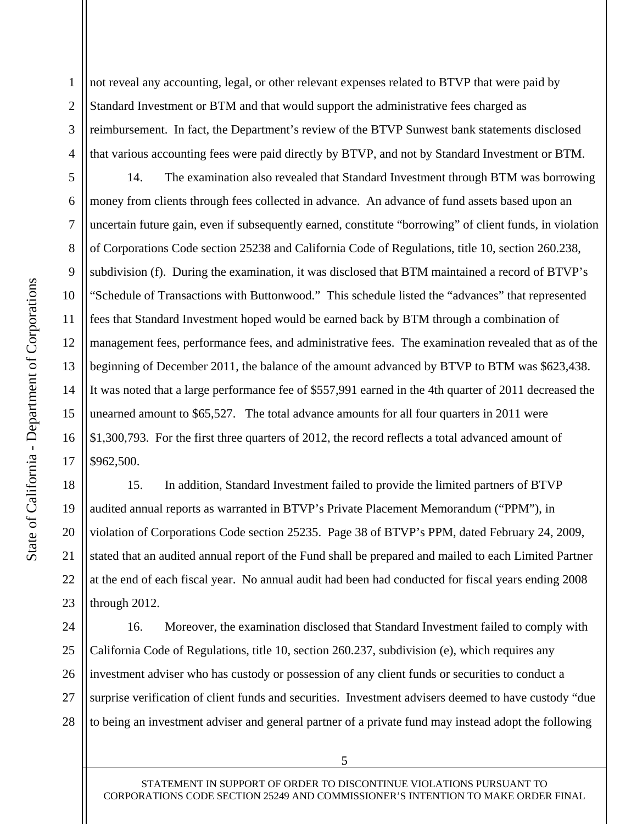1 2 3 4 not reveal any accounting, legal, or other relevant expenses related to BTVP that were paid by Standard Investment or BTM and that would support the administrative fees charged as reimbursement. In fact, the Department's review of the BTVP Sunwest bank statements disclosed that various accounting fees were paid directly by BTVP, and not by Standard Investment or BTM.

10 6 7 8 12 13 14 16 14. The examination also revealed that Standard Investment through BTM was borrowing money from clients through fees collected in advance. An advance of fund assets based upon an uncertain future gain, even if subsequently earned, constitute "borrowing" of client funds, in violation of Corporations Code section 25238 and California Code of Regulations, title 10, section 260.238, subdivision (f). During the examination, it was disclosed that BTM maintained a record of BTVP's "Schedule of Transactions with Buttonwood." This schedule listed the "advances" that represented fees that Standard Investment hoped would be earned back by BTM through a combination of management fees, performance fees, and administrative fees. The examination revealed that as of the beginning of December 2011, the balance of the amount advanced by BTVP to BTM was \$623,438. It was noted that a large performance fee of \$557,991 earned in the 4th quarter of 2011 decreased the unearned amount to \$65,527. The total advance amounts for all four quarters in 2011 were \$1,300,793. For the first three quarters of 2012, the record reflects a total advanced amount of \$962,500.

20 19 22 23 15. In addition, Standard Investment failed to provide the limited partners of BTVP audited annual reports as warranted in BTVP's Private Placement Memorandum ("PPM"), in violation of Corporations Code section 25235. Page 38 of BTVP's PPM, dated February 24, 2009, stated that an audited annual report of the Fund shall be prepared and mailed to each Limited Partner at the end of each fiscal year. No annual audit had been had conducted for fiscal years ending 2008 through 2012.

25 24 26 27 28 16. Moreover, the examination disclosed that Standard Investment failed to comply with California Code of Regulations, title 10, section 260.237, subdivision (e), which requires any investment adviser who has custody or possession of any client funds or securities to conduct a surprise verification of client funds and securities. Investment advisers deemed to have custody "due to being an investment adviser and general partner of a private fund may instead adopt the following

15

17

18

21

5

9

11

STATEMENT IN SUPPORT OF ORDER TO DISCONTINUE VIOLATIONS PURSUANT TO CORPORATIONS CODE SECTION 25249 AND COMMISSIONER'S INTENTION TO MAKE ORDER FINAL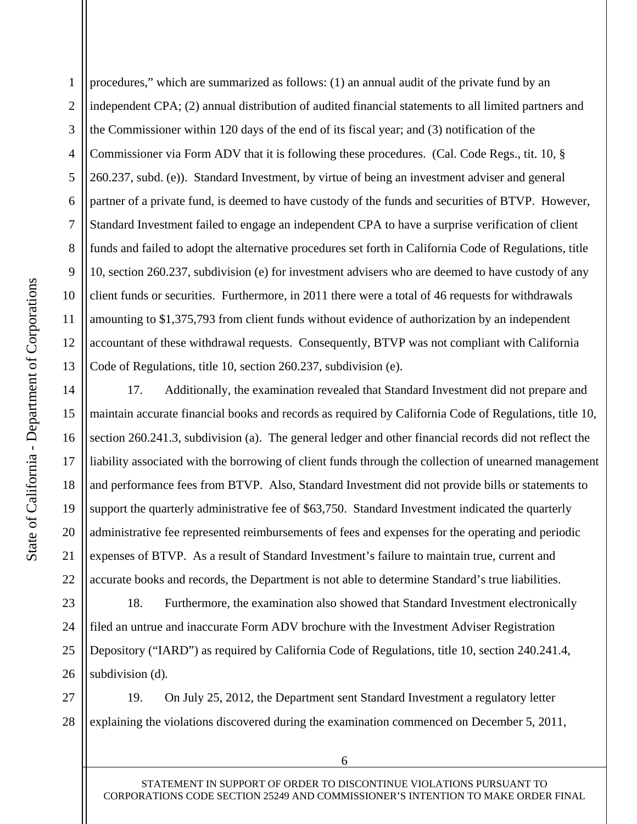<span id="page-5-0"></span>5 10 1 2 3 4 6 7 8 9 11 12 13 procedures," which are summarized as follows: (1) an annual audit of the private fund by an independent CPA; (2) annual distribution of audited financial statements to all limited partners and the Commissioner within 120 days of the end of its fiscal year; and (3) notification of the Commissioner via Form ADV that it is following these procedures. (Cal. Code Regs., tit. 10, § 260.237, subd. (e)). Standard Investment, by virtue of being an investment adviser and general partner of a private fund, is deemed to have custody of the funds and securities of BTVP. However, Standard Investment failed to engage an independent CPA to have a surprise verification of client funds and failed to adopt the alternative procedures set forth in California Code of Regulations, title 10, section 260.237, subdivision (e) for investment advisers who are deemed to have custody of any client funds or securities. Furthermore, in 2011 there were a total of 46 requests for withdrawals amounting to \$1,375,793 from client funds without evidence of authorization by an independent accountant of these withdrawal requests. Consequently, BTVP was not compliant with California Code of Regulations, title 10, section 260.237, subdivision (e).

17. Additionally, the examination revealed that Standard Investment did not prepare and maintain accurate financial books and records as required by California Code of Regulations, title 10, section 260.241.3, subdivision (a). The general ledger and other financial records did not reflect the liability associated with the borrowing of client funds through the collection of unearned management and performance fees from BTVP. Also, Standard Investment did not provide bills or statements to support the quarterly administrative fee of \$63,750. Standard Investment indicated the quarterly administrative fee represented reimbursements of fees and expenses for the operating and periodic expenses of BTVP. As a result of Standard Investment's failure to maintain true, current and accurate books and records, the Department is not able to determine Standard's true liabilities.

25 23 24 26 18. Furthermore, the examination also showed that Standard Investment electronically filed an untrue and inaccurate Form ADV brochure with the Investment Adviser Registration Depository ("IARD") as required by California Code of Regulations, title 10, section 240.241.4, subdivision (d)*.* 

27 28 19. On July 25, 2012, the Department sent Standard Investment a regulatory letter explaining the violations discovered during the examination commenced on December 5, 2011,

15

16

17

18

19

14

20

21

22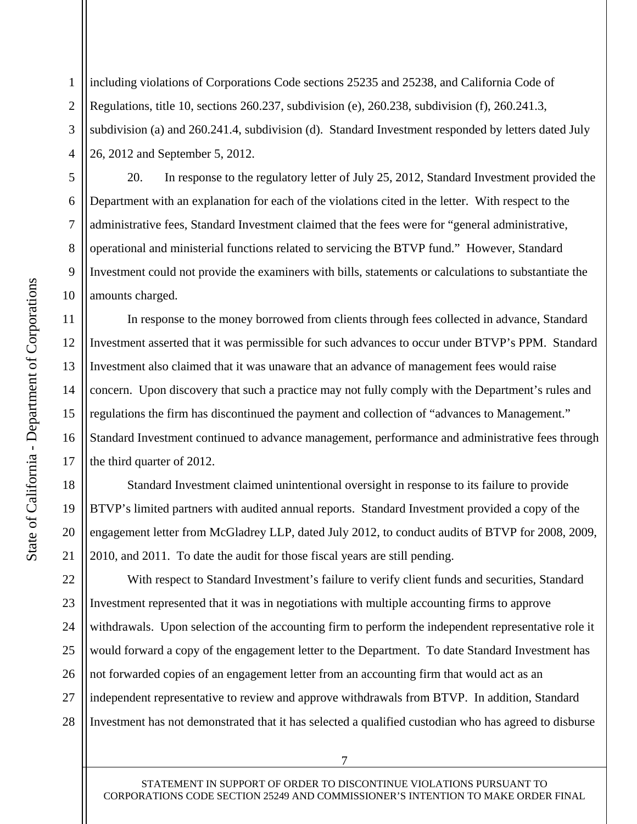<span id="page-6-0"></span>1 2 3 4 including violations of Corporations Code sections 25235 and 25238, and California Code of Regulations, title 10, sections 260.237, subdivision (e), 260.238, subdivision (f), 260.241.3, subdivision (a) and 260.241.4, subdivision (d). Standard Investment responded by letters dated July 26, 2012 and September 5, 2012.

20. In response to the regulatory letter of July 25, 2012, Standard Investment provided the Department with an explanation for each of the violations cited in the letter. With respect to the administrative fees, Standard Investment claimed that the fees were for "general administrative, operational and ministerial functions related to servicing the BTVP fund." However, Standard Investment could not provide the examiners with bills, statements or calculations to substantiate the amounts charged.

In response to the money borrowed from clients through fees collected in advance, Standard Investment asserted that it was permissible for such advances to occur under BTVP's PPM. Standard Investment also claimed that it was unaware that an advance of management fees would raise concern. Upon discovery that such a practice may not fully comply with the Department's rules and regulations the firm has discontinued the payment and collection of "advances to Management." Standard Investment continued to advance management, performance and administrative fees through the third quarter of 2012.

Standard Investment claimed unintentional oversight in response to its failure to provide BTVP's limited partners with audited annual reports. Standard Investment provided a copy of the engagement letter from McGladrey LLP, dated July 2012, to conduct audits of BTVP for 2008, 2009, 2010, and 2011. To date the audit for those fiscal years are still pending.

25 22 23 24 26 27 28 With respect to Standard Investment's failure to verify client funds and securities, Standard Investment represented that it was in negotiations with multiple accounting firms to approve withdrawals. Upon selection of the accounting firm to perform the independent representative role it would forward a copy of the engagement letter to the Department. To date Standard Investment has not forwarded copies of an engagement letter from an accounting firm that would act as an independent representative to review and approve withdrawals from BTVP. In addition, Standard Investment has not demonstrated that it has selected a qualified custodian who has agreed to disburse

5

6

7

8

9

10

11

12

13

14

15

16

17

18

19

20

21

STATEMENT IN SUPPORT OF ORDER TO DISCONTINUE VIOLATIONS PURSUANT TO CORPORATIONS CODE SECTION 25249 AND COMMISSIONER'S INTENTION TO MAKE ORDER FINAL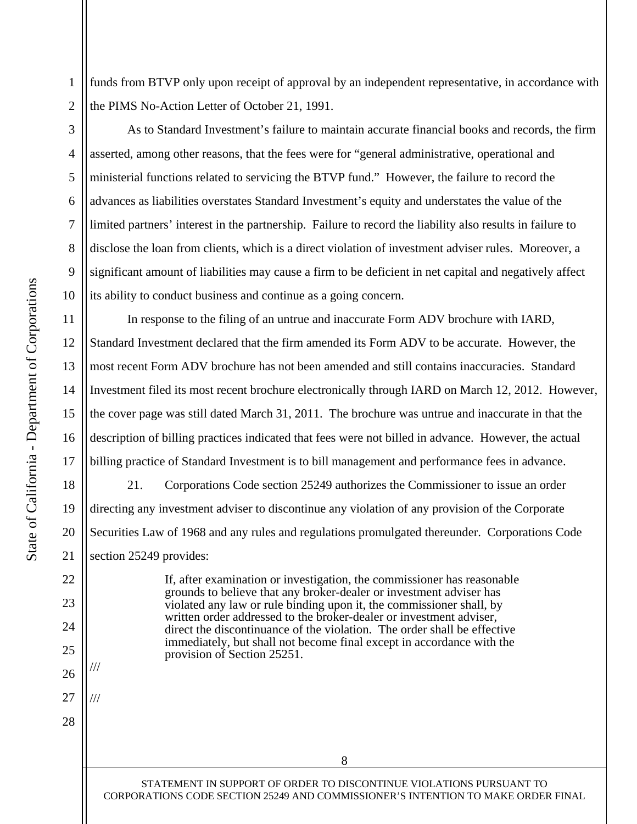<span id="page-7-0"></span>1 funds from BTVP only upon receipt of approval by an independent representative, in accordance with the PIMS No-Action Letter of October 21, 1991.

2 3

5

6

7

8

9

4

10

11

12

13

14

15

16

17

18

20

21

22

23

19

25

26

///

///

27

28

24

As to Standard Investment's failure to maintain accurate financial books and records, the firm asserted, among other reasons, that the fees were for "general administrative, operational and ministerial functions related to servicing the BTVP fund." However, the failure to record the advances as liabilities overstates Standard Investment's equity and understates the value of the limited partners' interest in the partnership. Failure to record the liability also results in failure to disclose the loan from clients, which is a direct violation of investment adviser rules. Moreover, a significant amount of liabilities may cause a firm to be deficient in net capital and negatively affect its ability to conduct business and continue as a going concern.

In response to the filing of an untrue and inaccurate Form ADV brochure with IARD, Standard Investment declared that the firm amended its Form ADV to be accurate. However, the most recent Form ADV brochure has not been amended and still contains inaccuracies. Standard Investment filed its most recent brochure electronically through IARD on March 12, 2012. However, the cover page was still dated March 31, 2011. The brochure was untrue and inaccurate in that the description of billing practices indicated that fees were not billed in advance. However, the actual billing practice of Standard Investment is to bill management and performance fees in advance.

21. Corporations Code section 25249 authorizes the Commissioner to issue an order directing any investment adviser to discontinue any violation of any provision of the Corporate Securities Law of 1968 and any rules and regulations promulgated thereunder. Corporations Code section 25249 provides:

> If, after examination or investigation, the commissioner has reasonable grounds to believe that any broker-dealer or investment adviser has violated any law or rule binding upon it, the commissioner shall, by written order addressed to the broker-dealer or investment adviser, direct the discontinuance of the violation. The order shall be effective immediately, but shall not become final except in accordance with the provision of Section 25251.

STATEMENT IN SUPPORT OF ORDER TO DISCONTINUE VIOLATIONS PURSUANT TO CORPORATIONS CODE SECTION 25249 AND COMMISSIONER'S INTENTION TO MAKE ORDER FINAL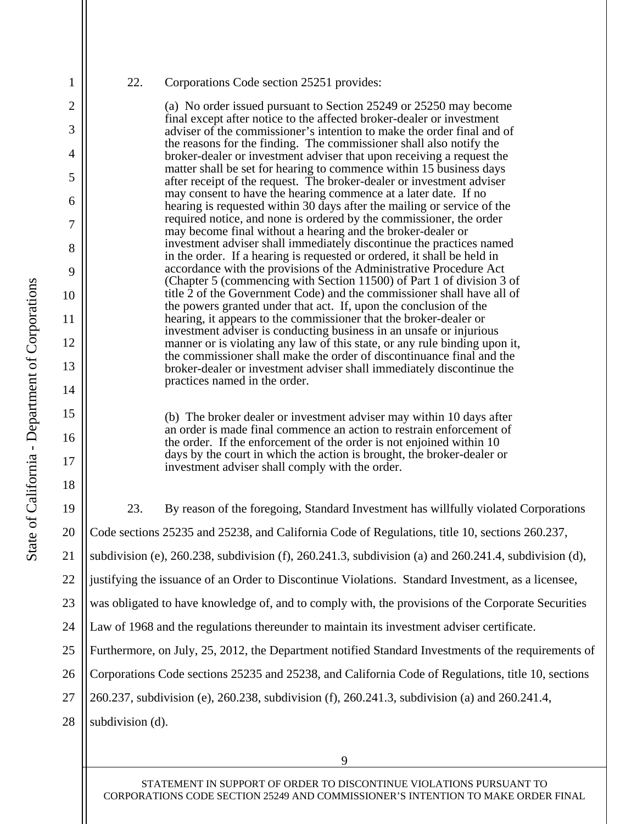5

6

7

8

9

4

<span id="page-8-0"></span>1

2

3

10

11

12

13

14

15

16

17

18

## 22. Corporations Code section 25251 provides:

(a) No order issued pursuant to Section 25249 or 25250 may become final except after notice to the affected broker-dealer or investment adviser of the commissioner's intention to make the order final and of the reasons for the finding. The commissioner shall also notify the broker-dealer or investment adviser that upon receiving a request the matter shall be set for hearing to commence within 15 business days after receipt of the request. The broker-dealer or investment adviser may consent to have the hearing commence at a later date. If no hearing is requested within 30 days after the mailing or service of the required notice, and none is ordered by the commissioner, the order may become final without a hearing and the broker-dealer or investment adviser shall immediately discontinue the practices named in the order. If a hearing is requested or ordered, it shall be held in accordance with the provisions of the Administrative Procedure Act (Chapter 5 (commencing with Section 11500) of Part 1 of division 3 of title 2 of the Government Code) and the commissioner shall have all of the powers granted under that act. If, upon the conclusion of the hearing, it appears to the commissioner that the broker-dealer or investment adviser is conducting business in an unsafe or injurious manner or is violating any law of this state, or any rule binding upon it, the commissioner shall make the order of discontinuance final and the broker-dealer or investment adviser shall immediately discontinue the practices named in the order.

(b) The broker dealer or investment adviser may within 10 days after an order is made final commence an action to restrain enforcement of the order. If the enforcement of the order is not enjoined within 10 days by the court in which the action is brought, the broker-dealer or investment adviser shall comply with the order.

20 25 19 21 22 23 24 26 27 28 23. By reason of the foregoing, Standard Investment has willfully violated Corporations Code sections 25235 and 25238, and California Code of Regulations, title 10, sections 260.237, subdivision (e), 260.238, subdivision (f), 260.241.3, subdivision (a) and 260.241.4, subdivision (d), justifying the issuance of an Order to Discontinue Violations. Standard Investment, as a licensee, was obligated to have knowledge of, and to comply with, the provisions of the Corporate Securities Law of 1968 and the regulations thereunder to maintain its investment adviser certificate. Furthermore, on July, 25, 2012, the Department notified Standard Investments of the requirements of Corporations Code sections 25235 and 25238, and California Code of Regulations, title 10, sections 260.237, subdivision (e), 260.238, subdivision (f), 260.241.3, subdivision (a) and 260.241.4, subdivision (d).